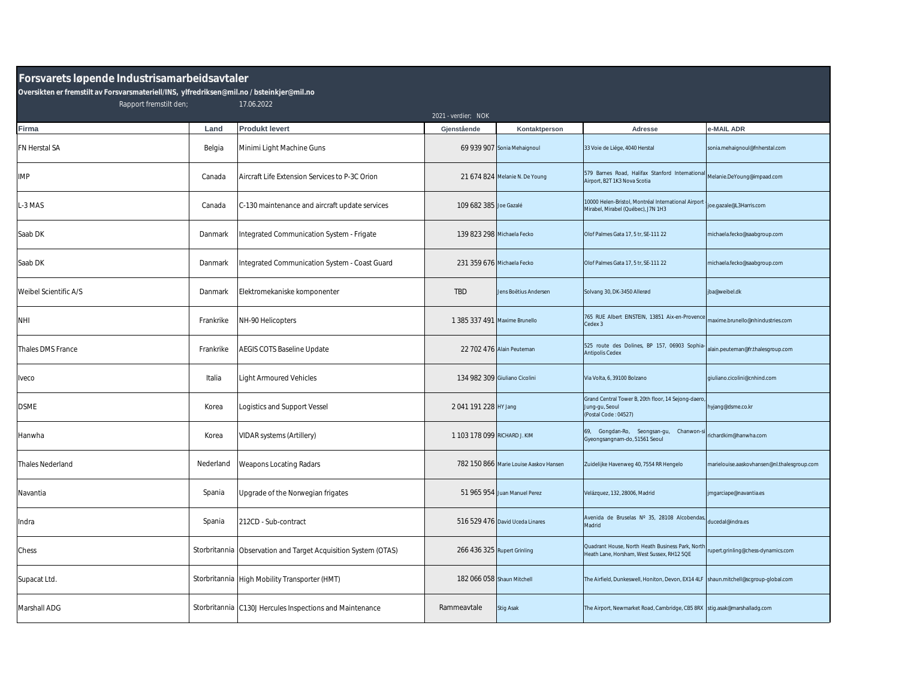## **Forsvarets løpende Industrisamarbeidsavtaler**

**Oversikten er fremstilt av Forsvarsmateriell/INS, ylfredriksen@mil.no / bsteinkjer@mil.no**

Rapport fremstilt den; 17.06.2022

|                       |           |                                                                | 2021 - verdier; NOK           |                                        |                                                                                                |                                             |
|-----------------------|-----------|----------------------------------------------------------------|-------------------------------|----------------------------------------|------------------------------------------------------------------------------------------------|---------------------------------------------|
| Firma                 | Land      | <b>Produkt levert</b>                                          | Gjenstående                   | Kontaktperson                          | Adresse                                                                                        | -MAIL ADR                                   |
| FN Herstal SA         | Belgia    | Minimi Light Machine Guns                                      |                               | 69 939 907 Sonia Mehaignoul            | 33 Voie de Liége, 4040 Herstal                                                                 | sonia.mehaignoul@fnherstal.com              |
| <b>IMP</b>            | Canada    | Aircraft Life Extension Services to P-3C Orion                 |                               | 21 674 824 Melanie N. De Young         | 579 Barnes Road, Halifax Stanford Internationa<br>Airport, B2T 1K3 Nova Scotia                 | Melanie.DeYoung@impaad.com                  |
| L-3 MAS               | Canada    | C-130 maintenance and aircraft update services                 | 109 682 385 Joe Gazalé        |                                        | 10000 Helen-Bristol, Montréal International Airport<br>Mirabel, Mirabel (Québec), J7N 1H3      | joe.gazale@L3Harris.com                     |
| Saab DK               | Danmark   | Integrated Communication System - Frigate                      | 139 823 298 Michaela Fecko    |                                        | Olof Palmes Gata 17, 5 tr, SE-111 22                                                           | michaela.fecko@saabgroup.com                |
| Saab DK               | Danmark   | Integrated Communication System - Coast Guard                  | 231 359 676 Michaela Fecko    |                                        | Olof Palmes Gata 17, 5 tr, SE-111 22                                                           | michaela.fecko@saabgroup.com                |
| Weibel Scientific A/S | Danmark   | Elektromekaniske komponenter                                   | <b>TBD</b>                    | Jens Boëtius Andersen                  | Solvang 30, DK-3450 Allerød                                                                    | iba@weibel.dk                               |
| <b>NHI</b>            | Frankrike | NH-90 Helicopters                                              | 1 385 337 491 Maxime Brunello |                                        | 765 RUE Albert EINSTEIN, 13851 Aix-en-Provence<br>Cedex 3                                      | maxime.brunello@nhindustries.com            |
| Thales DMS France     | Frankrike | <b>AEGIS COTS Baseline Update</b>                              |                               | 22 702 476 Alain Peuteman              | 525 route des Dolines, BP 157, 06903 Sophia<br><b>Antipolis Cedex</b>                          | alain.peuteman@fr.thalesgroup.com           |
| Iveco                 | Italia    | <b>Light Armoured Vehicles</b>                                 |                               | 134 982 309 Giuliano Cicolini          | Via Volta, 6, 39100 Bolzano                                                                    | qiuliano.cicolini@cnhind.com                |
| <b>DSME</b>           | Korea     | Logistics and Support Vessel                                   | 2 041 191 228 HY Jang         |                                        | Grand Central Tower B, 20th floor, 14 Sejong-daero<br>Jung-gu, Seoul<br>(Postal Code: 04527)   | hyjang@dsme.co.kr                           |
| Hanwha                | Korea     | VIDAR systems (Artillery)                                      | 1 103 178 099 RICHARD J. KIM  |                                        | 69, Gongdan-Ro, Seongsan-gu, Chanwon-<br>Gyeongsangnam-do, 51561 Seoul                         | richardkim@hanwha.com                       |
| Thales Nederland      | Nederland | Weapons Locating Radars                                        |                               | 782 150 866 Marie Louise Aaskov Hansen | Zuidelijke Havenweg 40, 7554 RR Hengelo                                                        | marielouise.aaskovhansen@nl.thalesgroup.com |
| Navantia              | Spania    | Jpgrade of the Norwegian frigates                              |                               | 51 965 954 Juan Manuel Perez           | Velázquez, 132, 28006, Madrid                                                                  | jmgarciape@navantia.es                      |
| Indra                 | Spania    | 212CD - Sub-contract                                           |                               | 516 529 476 David Uceda Linares        | Avenida de Bruselas Nº 35, 28108 Alcobendas<br>Madrid                                          | ducedal@indra.es                            |
| Chess                 |           | Storbritannia Observation and Target Acquisition System (OTAS) | 266 436 325 Rupert Grinling   |                                        | Quadrant House, North Heath Business Park, North<br>Heath Lane, Horsham, West Sussex, RH12 5QE | rupert.grinling@chess-dynamics.com          |
| Supacat Ltd.          |           | Storbritannia High Mobility Transporter (HMT)                  | 182 066 058 Shaun Mitchell    |                                        | The Airfield, Dunkeswell, Honiton, Devon, EX14 4LF shaun.mitchell@scgroup-global.com           |                                             |
| Marshall ADG          |           | Storbritannia C130J Hercules Inspections and Maintenance       | Rammeavtale                   | <b>Stig Asak</b>                       | The Airport, Newmarket Road, Cambridge, CB5 8RX stig.asak@marshalladg.com                      |                                             |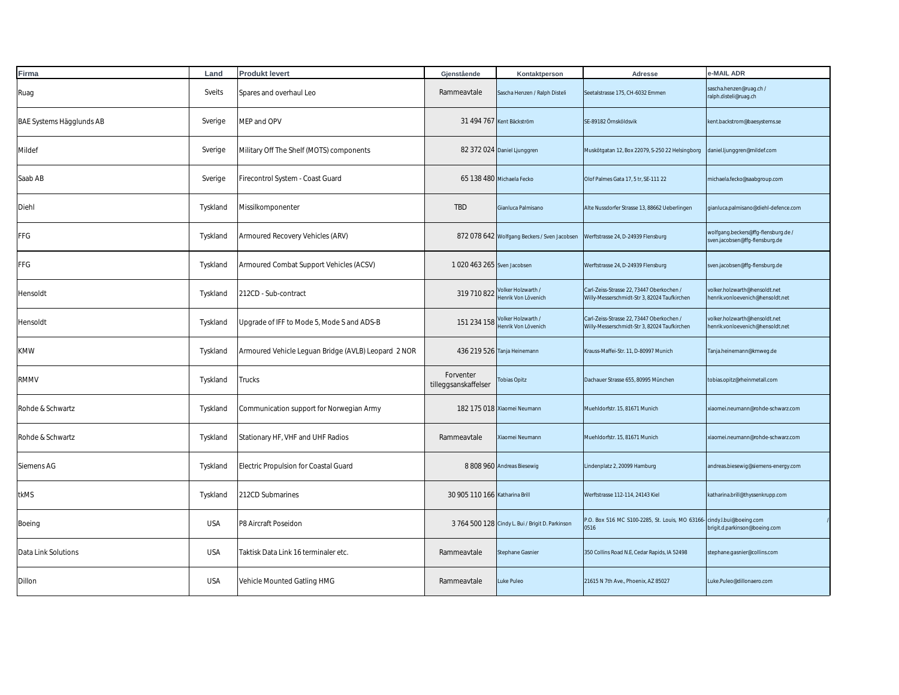| Firma                    | Land       | <b>Produkt levert</b>                               | Gjenstående                       | Kontaktperson                                    | Adresse                                                                                   | e-MAIL ADR                                                           |
|--------------------------|------------|-----------------------------------------------------|-----------------------------------|--------------------------------------------------|-------------------------------------------------------------------------------------------|----------------------------------------------------------------------|
| Ruag                     | Sveits     | Spares and overhaul Leo                             | Rammeavtale                       | Sascha Henzen / Ralph Disteli                    | Seetalstrasse 175, CH-6032 Emmen                                                          | sascha.henzen@ruag.ch/<br>alph.disteli@ruag.ch                       |
| BAE Systems Hägglunds AB | Sverige    | MEP and OPV                                         |                                   | 31 494 767 Kent Bäckström                        | SE-89182 Örnsköldsvik                                                                     | kent.backstrom@baesystems.se                                         |
| Mildef                   | Sverige    | Military Off The Shelf (MOTS) components            |                                   | 82 372 024 Daniel Ljunggren                      | Muskötgatan 12, Box 22079, S-250 22 Helsingborg                                           | daniel.ljunggren@mildef.com                                          |
| Saab AB                  | Sverige    | Firecontrol System - Coast Guard                    |                                   | 65 138 480 Michaela Fecko                        | Olof Palmes Gata 17, 5 tr, SE-111 22                                                      | michaela.fecko@saabgroup.com                                         |
| Diehl                    | Tyskland   | Missilkomponenter                                   | <b>TBD</b>                        | Gianluca Palmisano                               | Alte Nussdorfer Strasse 13, 88662 Ueberlingen                                             | gianluca.palmisano@diehl-defence.com                                 |
| FFG                      | Tyskland   | Armoured Recovery Vehicles (ARV)                    |                                   | 872 078 642 Wolfgang Beckers / Sven Jacobsen     | Werftstrasse 24, D-24939 Flensburg                                                        | wolfgang.beckers@ffg-flensburg.de/<br>sven.jacobsen@ffg-flensburg.de |
| FFG                      | Tyskland   | Armoured Combat Support Vehicles (ACSV)             | 1 020 463 265 Sven Jacobsen       |                                                  | Werftstrasse 24, D-24939 Flensburg                                                        | wen.jacobsen@ffg-flensburg.de                                        |
| Hensoldt                 | Tyskland   | 212CD - Sub-contract                                | 319 710 822                       | Volker Holzwarth /<br>Henrik Von Lövenich        | Carl-Zeiss-Strasse 22, 73447 Oberkochen /<br>Willy-Messerschmidt-Str 3, 82024 Taufkirchen | volker.holzwarth@hensoldt.net<br>henrik.vonloevenich@hensoldt.net    |
| Hensoldt                 | Tyskland   | Jpgrade of IFF to Mode 5, Mode S and ADS-B          | 151 234 158                       | Volker Holzwarth /<br>Henrik Von Lövenich        | Carl-Zeiss-Strasse 22, 73447 Oberkochen /<br>Willy-Messerschmidt-Str 3, 82024 Taufkirchen | volker.holzwarth@hensoldt.net<br>nenrik.vonloevenich@hensoldt.net    |
| <b>KMW</b>               | Tyskland   | Armoured Vehicle Leguan Bridge (AVLB) Leopard 2 NOR |                                   | 436 219 526 Tanja Heinemann                      | Krauss-Maffei-Str. 11, D-80997 Munich                                                     | Tanja.heinemann@kmweg.de                                             |
| <b>RMMV</b>              | Tyskland   | Trucks                                              | Forventer<br>tilleggsanskaffelser | <b>Obias Opitz</b>                               | Dachauer Strasse 655, 80995 München                                                       | tobias.opitz@rheinmetall.com                                         |
| Rohde & Schwartz         | Tyskland   | Communication support for Norwegian Army            |                                   | 182 175 018 Xiaomei Neumann                      | Muehldorfstr. 15, 81671 Munich                                                            | xiaomei.neumann@rohde-schwarz.com                                    |
| Rohde & Schwartz         | Tyskland   | Stationary HF, VHF and UHF Radios                   | Rammeavtale                       | Xiaomei Neumann                                  | Muehldorfstr. 15, 81671 Munich                                                            | xiaomei.neumann@rohde-schwarz.com                                    |
| Siemens AG               | Tyskland   | Electric Propulsion for Coastal Guard               |                                   | 8 808 960 Andreas Biesewig                       | Lindenplatz 2, 20099 Hamburg                                                              | andreas.biesewig@siemens-energy.com                                  |
| tkMS                     | Tyskland   | 212CD Submarines                                    | 30 905 110 166 Katharina Brill    |                                                  | Werftstrasse 112-114, 24143 Kiel                                                          | katharina.brill@thyssenkrupp.com                                     |
| Boeing                   | <b>USA</b> | P8 Aircraft Poseidon                                |                                   | 3 764 500 128 Cindy L. Bui / Brigit D. Parkinson | P.O. Box 516 MC S100-2285, St. Louis, MO 63166- cindy.I.bui@boeing.com<br>0516            | brigit.d.parkinson@boeing.com                                        |
| Data Link Solutions      | <b>USA</b> | Taktisk Data Link 16 terminaler etc.                | Rammeavtale                       | Stephane Gasnier                                 | 350 Collins Road N.E, Cedar Rapids, IA 52498                                              | stephane.gasnier@collins.com                                         |
| Dillon                   | <b>USA</b> | Vehicle Mounted Gatling HMG                         | Rammeavtale                       | Luke Puleo                                       | 21615 N 7th Ave., Phoenix, AZ 85027                                                       | Luke.Puleo@dillonaero.com                                            |
|                          |            |                                                     |                                   |                                                  |                                                                                           |                                                                      |